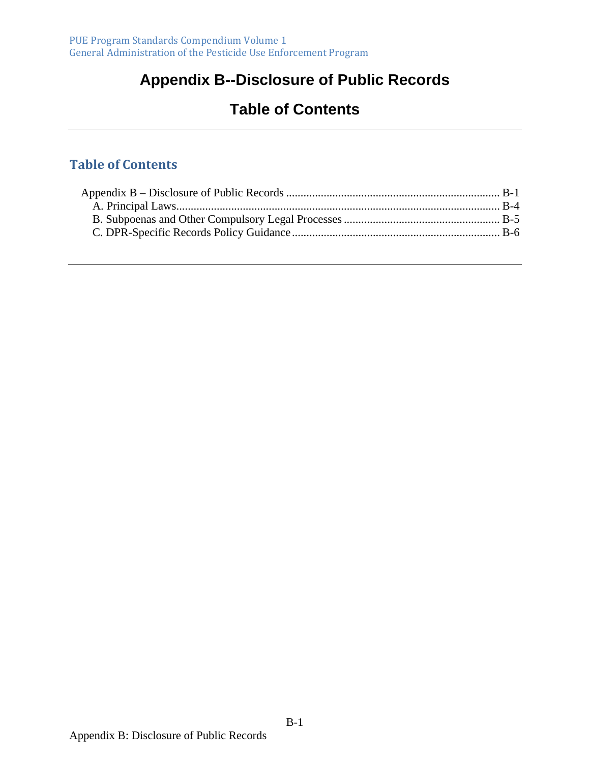# **Appendix B--Disclosure of Public Records**

# **Table of Contents**

### **Table of Contents**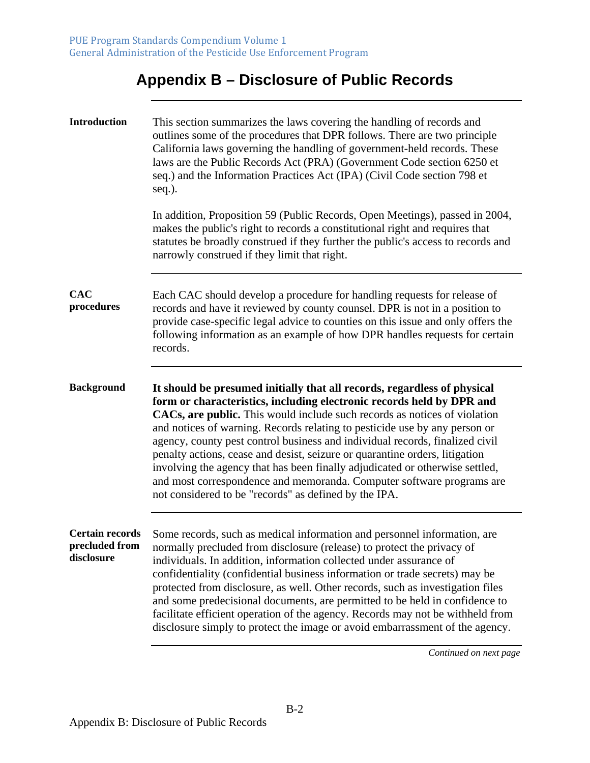# **Appendix B – Disclosure of Public Records**

| <b>Introduction</b>                                    | This section summarizes the laws covering the handling of records and<br>outlines some of the procedures that DPR follows. There are two principle<br>California laws governing the handling of government-held records. These<br>laws are the Public Records Act (PRA) (Government Code section 6250 et<br>seq.) and the Information Practices Act (IPA) (Civil Code section 798 et<br>seq.).                                                                                                                                                                                                                                                                                                |
|--------------------------------------------------------|-----------------------------------------------------------------------------------------------------------------------------------------------------------------------------------------------------------------------------------------------------------------------------------------------------------------------------------------------------------------------------------------------------------------------------------------------------------------------------------------------------------------------------------------------------------------------------------------------------------------------------------------------------------------------------------------------|
|                                                        | In addition, Proposition 59 (Public Records, Open Meetings), passed in 2004,<br>makes the public's right to records a constitutional right and requires that<br>statutes be broadly construed if they further the public's access to records and<br>narrowly construed if they limit that right.                                                                                                                                                                                                                                                                                                                                                                                              |
| <b>CAC</b><br>procedures                               | Each CAC should develop a procedure for handling requests for release of<br>records and have it reviewed by county counsel. DPR is not in a position to<br>provide case-specific legal advice to counties on this issue and only offers the<br>following information as an example of how DPR handles requests for certain<br>records.                                                                                                                                                                                                                                                                                                                                                        |
| <b>Background</b>                                      | It should be presumed initially that all records, regardless of physical<br>form or characteristics, including electronic records held by DPR and<br>CACs, are public. This would include such records as notices of violation<br>and notices of warning. Records relating to pesticide use by any person or<br>agency, county pest control business and individual records, finalized civil<br>penalty actions, cease and desist, seizure or quarantine orders, litigation<br>involving the agency that has been finally adjudicated or otherwise settled,<br>and most correspondence and memoranda. Computer software programs are<br>not considered to be "records" as defined by the IPA. |
| <b>Certain records</b><br>precluded from<br>disclosure | Some records, such as medical information and personnel information, are<br>normally precluded from disclosure (release) to protect the privacy of<br>individuals. In addition, information collected under assurance of<br>confidentiality (confidential business information or trade secrets) may be<br>protected from disclosure, as well. Other records, such as investigation files<br>and some predecisional documents, are permitted to be held in confidence to<br>facilitate efficient operation of the agency. Records may not be withheld from<br>disclosure simply to protect the image or avoid embarrassment of the agency.                                                    |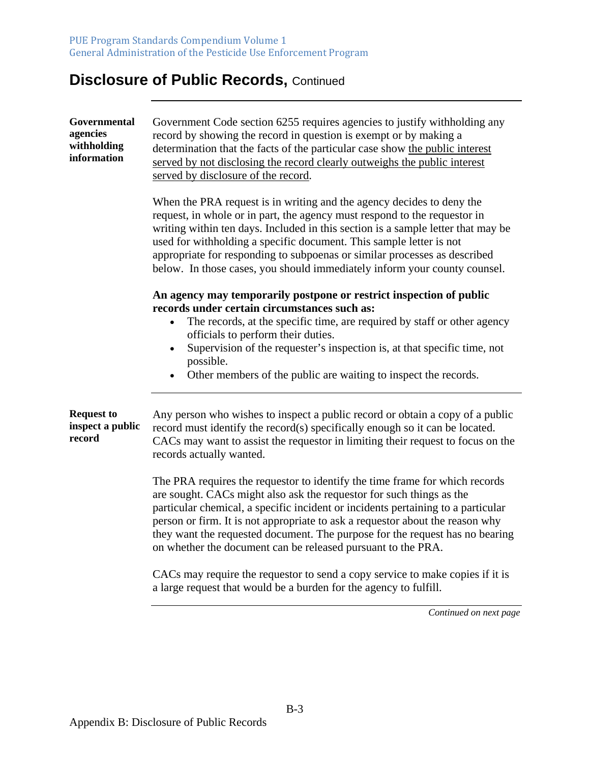| Governmental<br>agencies<br>withholding<br>information | Government Code section 6255 requires agencies to justify withholding any<br>record by showing the record in question is exempt or by making a<br>determination that the facts of the particular case show the public interest<br>served by not disclosing the record clearly outweighs the public interest<br>served by disclosure of the record.                                                                                                                       |
|--------------------------------------------------------|--------------------------------------------------------------------------------------------------------------------------------------------------------------------------------------------------------------------------------------------------------------------------------------------------------------------------------------------------------------------------------------------------------------------------------------------------------------------------|
|                                                        | When the PRA request is in writing and the agency decides to deny the<br>request, in whole or in part, the agency must respond to the requestor in<br>writing within ten days. Included in this section is a sample letter that may be<br>used for withholding a specific document. This sample letter is not<br>appropriate for responding to subpoenas or similar processes as described<br>below. In those cases, you should immediately inform your county counsel.  |
|                                                        | An agency may temporarily postpone or restrict inspection of public                                                                                                                                                                                                                                                                                                                                                                                                      |
|                                                        | records under certain circumstances such as:<br>The records, at the specific time, are required by staff or other agency                                                                                                                                                                                                                                                                                                                                                 |
|                                                        | officials to perform their duties.<br>Supervision of the requester's inspection is, at that specific time, not<br>$\bullet$                                                                                                                                                                                                                                                                                                                                              |
|                                                        | possible.                                                                                                                                                                                                                                                                                                                                                                                                                                                                |
|                                                        | Other members of the public are waiting to inspect the records.<br>$\bullet$                                                                                                                                                                                                                                                                                                                                                                                             |
| <b>Request to</b><br>inspect a public<br>record        | Any person who wishes to inspect a public record or obtain a copy of a public<br>record must identify the record(s) specifically enough so it can be located.<br>CACs may want to assist the requestor in limiting their request to focus on the<br>records actually wanted.                                                                                                                                                                                             |
|                                                        | The PRA requires the requestor to identify the time frame for which records<br>are sought. CACs might also ask the requestor for such things as the<br>particular chemical, a specific incident or incidents pertaining to a particular<br>person or firm. It is not appropriate to ask a requestor about the reason why<br>they want the requested document. The purpose for the request has no bearing<br>on whether the document can be released pursuant to the PRA. |
|                                                        | CACs may require the requestor to send a copy service to make copies if it is<br>a large request that would be a burden for the agency to fulfill.                                                                                                                                                                                                                                                                                                                       |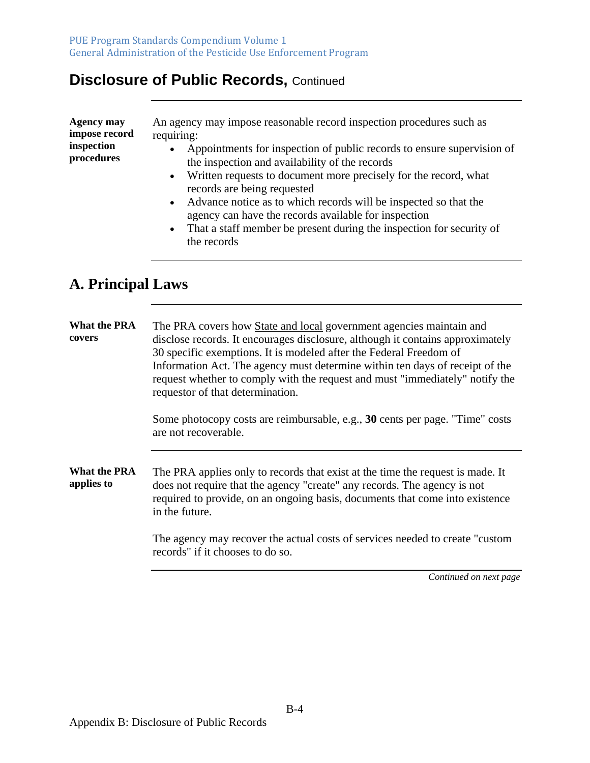| Agency may    | An agency may impose reasonable record inspection procedures such as   |
|---------------|------------------------------------------------------------------------|
| impose record | requiring:                                                             |
| inspection    | Appointments for inspection of public records to ensure supervision of |
| procedures    | the inspection and availability of the records                         |
|               | • Written requests to document more precisely for the record, what     |
|               | records are being requested                                            |
|               | Advance notice as to which records will be inspected so that the       |

- Advance notice as to which records will be inspected so that the agency can have the records available for inspection
- That a staff member be present during the inspection for security of the records

### **A. Principal Laws**

**What the PRA covers**  The PRA covers how State and local government agencies maintain and disclose records. It encourages disclosure, although it contains approximately 30 specific exemptions. It is modeled after the Federal Freedom of Information Act. The agency must determine within ten days of receipt of the request whether to comply with the request and must "immediately" notify the requestor of that determination.

> Some photocopy costs are reimbursable, e.g., **30** cents per page. "Time" costs are not recoverable.

**What the PRA applies to**  The PRA applies only to records that exist at the time the request is made. It does not require that the agency "create" any records. The agency is not required to provide, on an ongoing basis, documents that come into existence in the future.

> The agency may recover the actual costs of services needed to create "custom records" if it chooses to do so.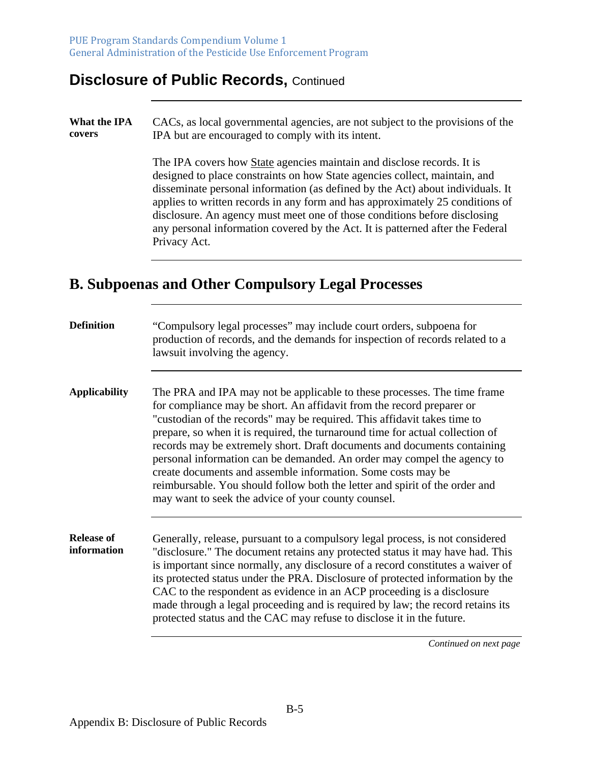#### **What the IPA covers**  CACs, as local governmental agencies, are not subject to the provisions of the IPA but are encouraged to comply with its intent.

The IPA covers how State agencies maintain and disclose records. It is designed to place constraints on how State agencies collect, maintain, and disseminate personal information (as defined by the Act) about individuals. It applies to written records in any form and has approximately 25 conditions of disclosure. An agency must meet one of those conditions before disclosing any personal information covered by the Act. It is patterned after the Federal Privacy Act.

### **B. Subpoenas and Other Compulsory Legal Processes**

| <b>Definition</b>                | "Compulsory legal processes" may include court orders, subpoena for<br>production of records, and the demands for inspection of records related to a<br>lawsuit involving the agency.                                                                                                                                                                                                                                                                                                                                                                                                                                                                                       |
|----------------------------------|-----------------------------------------------------------------------------------------------------------------------------------------------------------------------------------------------------------------------------------------------------------------------------------------------------------------------------------------------------------------------------------------------------------------------------------------------------------------------------------------------------------------------------------------------------------------------------------------------------------------------------------------------------------------------------|
| <b>Applicability</b>             | The PRA and IPA may not be applicable to these processes. The time frame<br>for compliance may be short. An affidavit from the record preparer or<br>"custodian of the records" may be required. This affidavit takes time to<br>prepare, so when it is required, the turnaround time for actual collection of<br>records may be extremely short. Draft documents and documents containing<br>personal information can be demanded. An order may compel the agency to<br>create documents and assemble information. Some costs may be<br>reimbursable. You should follow both the letter and spirit of the order and<br>may want to seek the advice of your county counsel. |
| <b>Release of</b><br>information | Generally, release, pursuant to a compulsory legal process, is not considered<br>"disclosure." The document retains any protected status it may have had. This<br>is important since normally, any disclosure of a record constitutes a waiver of<br>its protected status under the PRA. Disclosure of protected information by the<br>CAC to the respondent as evidence in an ACP proceeding is a disclosure<br>made through a legal proceeding and is required by law; the record retains its<br>protected status and the CAC may refuse to disclose it in the future.                                                                                                    |
|                                  | Continued on next page                                                                                                                                                                                                                                                                                                                                                                                                                                                                                                                                                                                                                                                      |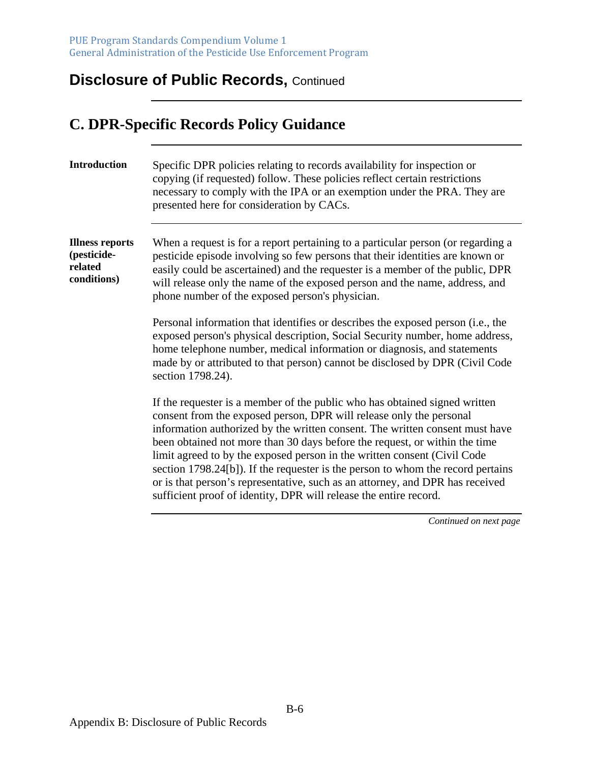# **C. DPR-Specific Records Policy Guidance**

| <b>Introduction</b>                                             | Specific DPR policies relating to records availability for inspection or<br>copying (if requested) follow. These policies reflect certain restrictions<br>necessary to comply with the IPA or an exemption under the PRA. They are<br>presented here for consideration by CACs.                                                                                                                                                                                                                                                                                                                                                      |
|-----------------------------------------------------------------|--------------------------------------------------------------------------------------------------------------------------------------------------------------------------------------------------------------------------------------------------------------------------------------------------------------------------------------------------------------------------------------------------------------------------------------------------------------------------------------------------------------------------------------------------------------------------------------------------------------------------------------|
| <b>Illness reports</b><br>(pesticide-<br>related<br>conditions) | When a request is for a report pertaining to a particular person (or regarding a<br>pesticide episode involving so few persons that their identities are known or<br>easily could be ascertained) and the requester is a member of the public, DPR<br>will release only the name of the exposed person and the name, address, and<br>phone number of the exposed person's physician.                                                                                                                                                                                                                                                 |
|                                                                 | Personal information that identifies or describes the exposed person (i.e., the<br>exposed person's physical description, Social Security number, home address,<br>home telephone number, medical information or diagnosis, and statements<br>made by or attributed to that person) cannot be disclosed by DPR (Civil Code<br>section 1798.24).                                                                                                                                                                                                                                                                                      |
|                                                                 | If the requester is a member of the public who has obtained signed written<br>consent from the exposed person, DPR will release only the personal<br>information authorized by the written consent. The written consent must have<br>been obtained not more than 30 days before the request, or within the time<br>limit agreed to by the exposed person in the written consent (Civil Code<br>section 1798.24[b]). If the requester is the person to whom the record pertains<br>or is that person's representative, such as an attorney, and DPR has received<br>sufficient proof of identity, DPR will release the entire record. |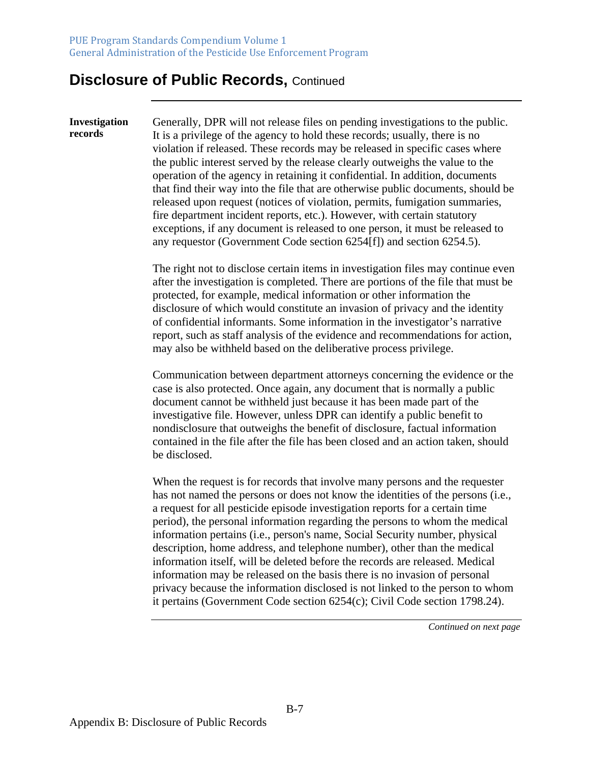**Investigation records**  Generally, DPR will not release files on pending investigations to the public. It is a privilege of the agency to hold these records; usually, there is no violation if released. These records may be released in specific cases where the public interest served by the release clearly outweighs the value to the operation of the agency in retaining it confidential. In addition, documents that find their way into the file that are otherwise public documents, should be released upon request (notices of violation, permits, fumigation summaries, fire department incident reports, etc.). However, with certain statutory exceptions, if any document is released to one person, it must be released to any requestor (Government Code section 6254[f]) and section 6254.5).

> The right not to disclose certain items in investigation files may continue even after the investigation is completed. There are portions of the file that must be protected, for example, medical information or other information the disclosure of which would constitute an invasion of privacy and the identity of confidential informants. Some information in the investigator's narrative report, such as staff analysis of the evidence and recommendations for action, may also be withheld based on the deliberative process privilege.

> Communication between department attorneys concerning the evidence or the case is also protected. Once again, any document that is normally a public document cannot be withheld just because it has been made part of the investigative file. However, unless DPR can identify a public benefit to nondisclosure that outweighs the benefit of disclosure, factual information contained in the file after the file has been closed and an action taken, should be disclosed.

> When the request is for records that involve many persons and the requester has not named the persons or does not know the identities of the persons (i.e., a request for all pesticide episode investigation reports for a certain time period), the personal information regarding the persons to whom the medical information pertains (i.e., person's name, Social Security number, physical description, home address, and telephone number), other than the medical information itself, will be deleted before the records are released. Medical information may be released on the basis there is no invasion of personal privacy because the information disclosed is not linked to the person to whom it pertains (Government Code section 6254(c); Civil Code section 1798.24).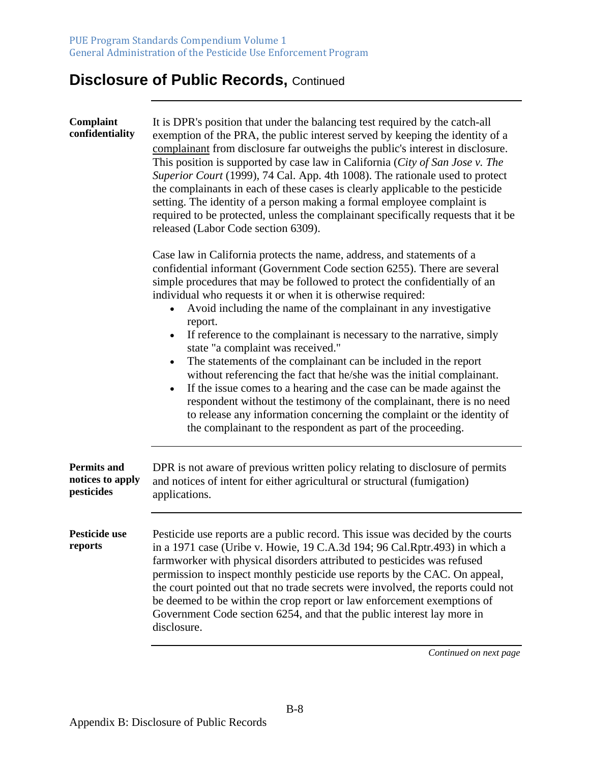| Complaint<br>confidentiality                         | It is DPR's position that under the balancing test required by the catch-all<br>exemption of the PRA, the public interest served by keeping the identity of a<br>complainant from disclosure far outweighs the public's interest in disclosure.<br>This position is supported by case law in California (City of San Jose v. The<br>Superior Court (1999), 74 Cal. App. 4th 1008). The rationale used to protect<br>the complainants in each of these cases is clearly applicable to the pesticide<br>setting. The identity of a person making a formal employee complaint is<br>required to be protected, unless the complainant specifically requests that it be<br>released (Labor Code section 6309).                                                                                                                                                                                                                            |
|------------------------------------------------------|--------------------------------------------------------------------------------------------------------------------------------------------------------------------------------------------------------------------------------------------------------------------------------------------------------------------------------------------------------------------------------------------------------------------------------------------------------------------------------------------------------------------------------------------------------------------------------------------------------------------------------------------------------------------------------------------------------------------------------------------------------------------------------------------------------------------------------------------------------------------------------------------------------------------------------------|
|                                                      | Case law in California protects the name, address, and statements of a<br>confidential informant (Government Code section 6255). There are several<br>simple procedures that may be followed to protect the confidentially of an<br>individual who requests it or when it is otherwise required:<br>Avoid including the name of the complainant in any investigative<br>report.<br>If reference to the complainant is necessary to the narrative, simply<br>state "a complaint was received."<br>The statements of the complainant can be included in the report<br>without referencing the fact that he/she was the initial complainant.<br>If the issue comes to a hearing and the case can be made against the<br>respondent without the testimony of the complainant, there is no need<br>to release any information concerning the complaint or the identity of<br>the complainant to the respondent as part of the proceeding. |
| <b>Permits and</b><br>notices to apply<br>pesticides | DPR is not aware of previous written policy relating to disclosure of permits<br>and notices of intent for either agricultural or structural (fumigation)<br>applications.                                                                                                                                                                                                                                                                                                                                                                                                                                                                                                                                                                                                                                                                                                                                                           |
| Pesticide use<br>reports                             | Pesticide use reports are a public record. This issue was decided by the courts<br>in a 1971 case (Uribe v. Howie, 19 C.A.3d 194; 96 Cal.Rptr.493) in which a<br>farmworker with physical disorders attributed to pesticides was refused<br>permission to inspect monthly pesticide use reports by the CAC. On appeal,<br>the court pointed out that no trade secrets were involved, the reports could not<br>be deemed to be within the crop report or law enforcement exemptions of<br>Government Code section 6254, and that the public interest lay more in<br>disclosure.                                                                                                                                                                                                                                                                                                                                                       |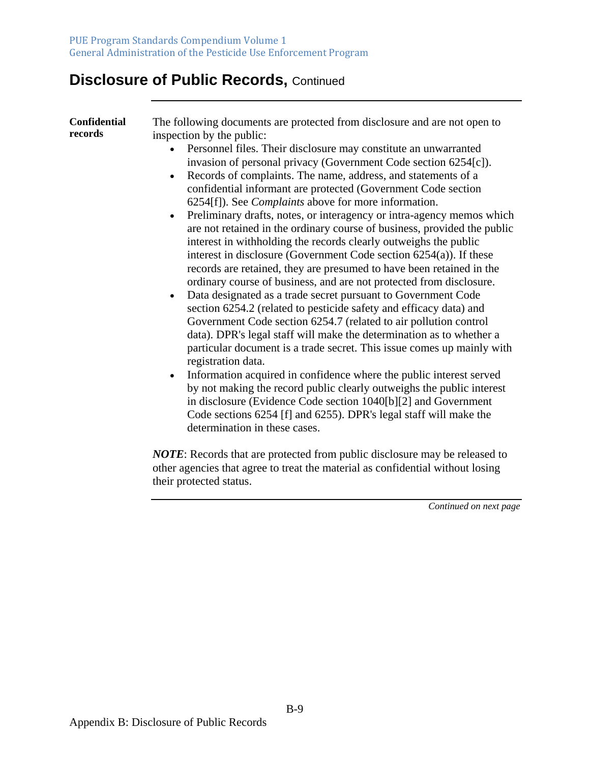| <b>Confidential</b><br>records | The following documents are protected from disclosure and are not open to<br>inspection by the public:<br>Personnel files. Their disclosure may constitute an unwarranted<br>invasion of personal privacy (Government Code section 6254[c]).<br>Records of complaints. The name, address, and statements of a<br>confidential informant are protected (Government Code section<br>6254[f]). See <i>Complaints</i> above for more information.<br>Preliminary drafts, notes, or interagency or intra-agency memos which<br>are not retained in the ordinary course of business, provided the public<br>interest in withholding the records clearly outweighs the public<br>interest in disclosure (Government Code section $6254(a)$ ). If these<br>records are retained, they are presumed to have been retained in the<br>ordinary course of business, and are not protected from disclosure.<br>Data designated as a trade secret pursuant to Government Code<br>section 6254.2 (related to pesticide safety and efficacy data) and<br>Government Code section 6254.7 (related to air pollution control<br>data). DPR's legal staff will make the determination as to whether a<br>particular document is a trade secret. This issue comes up mainly with<br>registration data.<br>Information acquired in confidence where the public interest served<br>by not making the record public clearly outweighs the public interest<br>in disclosure (Evidence Code section 1040[b][2] and Government<br>Code sections 6254 [f] and 6255). DPR's legal staff will make the |
|--------------------------------|--------------------------------------------------------------------------------------------------------------------------------------------------------------------------------------------------------------------------------------------------------------------------------------------------------------------------------------------------------------------------------------------------------------------------------------------------------------------------------------------------------------------------------------------------------------------------------------------------------------------------------------------------------------------------------------------------------------------------------------------------------------------------------------------------------------------------------------------------------------------------------------------------------------------------------------------------------------------------------------------------------------------------------------------------------------------------------------------------------------------------------------------------------------------------------------------------------------------------------------------------------------------------------------------------------------------------------------------------------------------------------------------------------------------------------------------------------------------------------------------------------------------------------------------------------------------------|
|                                | determination in these cases.<br><b>NOTE:</b> Records that are protected from public disclosure may be released to                                                                                                                                                                                                                                                                                                                                                                                                                                                                                                                                                                                                                                                                                                                                                                                                                                                                                                                                                                                                                                                                                                                                                                                                                                                                                                                                                                                                                                                       |
|                                | other agencies that agree to treat the material as confidential without losing                                                                                                                                                                                                                                                                                                                                                                                                                                                                                                                                                                                                                                                                                                                                                                                                                                                                                                                                                                                                                                                                                                                                                                                                                                                                                                                                                                                                                                                                                           |

*Continued on next page* 

their protected status.